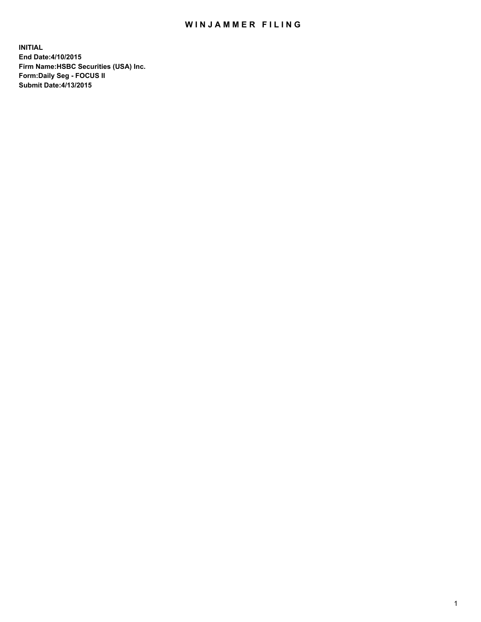## WIN JAMMER FILING

**INITIAL End Date:4/10/2015 Firm Name:HSBC Securities (USA) Inc. Form:Daily Seg - FOCUS II Submit Date:4/13/2015**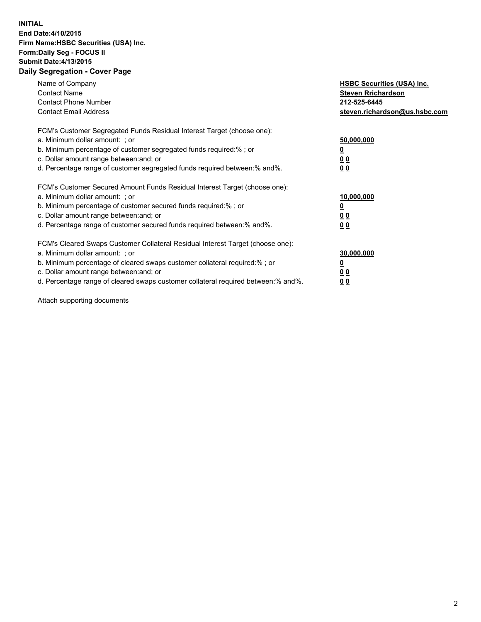## **INITIAL End Date:4/10/2015 Firm Name:HSBC Securities (USA) Inc. Form:Daily Seg - FOCUS II Submit Date:4/13/2015 Daily Segregation - Cover Page**

| Name of Company<br><b>Contact Name</b><br><b>Contact Phone Number</b><br><b>Contact Email Address</b>                                                                                                                                                                                                                         | <b>HSBC Securities (USA) Inc.</b><br><b>Steven Rrichardson</b><br>212-525-6445<br>steven.richardson@us.hsbc.com |
|-------------------------------------------------------------------------------------------------------------------------------------------------------------------------------------------------------------------------------------------------------------------------------------------------------------------------------|-----------------------------------------------------------------------------------------------------------------|
| FCM's Customer Segregated Funds Residual Interest Target (choose one):<br>a. Minimum dollar amount: ; or<br>b. Minimum percentage of customer segregated funds required:%; or<br>c. Dollar amount range between: and; or<br>d. Percentage range of customer segregated funds required between:% and%.                         | 50,000,000<br>00<br>0 <sub>0</sub>                                                                              |
| FCM's Customer Secured Amount Funds Residual Interest Target (choose one):<br>a. Minimum dollar amount: ; or<br>b. Minimum percentage of customer secured funds required:%; or<br>c. Dollar amount range between: and; or<br>d. Percentage range of customer secured funds required between:% and%.                           | 10,000,000<br>0 <sub>0</sub><br>00                                                                              |
| FCM's Cleared Swaps Customer Collateral Residual Interest Target (choose one):<br>a. Minimum dollar amount: ; or<br>b. Minimum percentage of cleared swaps customer collateral required:%; or<br>c. Dollar amount range between: and; or<br>d. Percentage range of cleared swaps customer collateral required between:% and%. | 30,000,000<br><u>00</u><br><u>00</u>                                                                            |

Attach supporting documents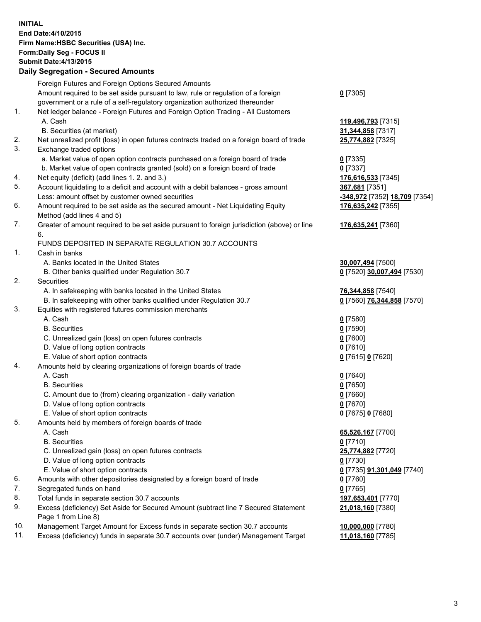**INITIAL End Date:4/10/2015 Firm Name:HSBC Securities (USA) Inc. Form:Daily Seg - FOCUS II Submit Date:4/13/2015 Daily Segregation - Secured Amounts**

Foreign Futures and Foreign Options Secured Amounts Amount required to be set aside pursuant to law, rule or regulation of a foreign government or a rule of a self-regulatory organization authorized thereunder **0** [7305] 1. Net ledger balance - Foreign Futures and Foreign Option Trading - All Customers A. Cash **119,496,793** [7315] B. Securities (at market) **31,344,858** [7317] 2. Net unrealized profit (loss) in open futures contracts traded on a foreign board of trade **25,774,882** [7325] 3. Exchange traded options a. Market value of open option contracts purchased on a foreign board of trade **0** [7335] b. Market value of open contracts granted (sold) on a foreign board of trade **0** [7337] 4. Net equity (deficit) (add lines 1. 2. and 3.) **176,616,533** [7345] 5. Account liquidating to a deficit and account with a debit balances - gross amount **367,681** [7351] Less: amount offset by customer owned securities **-348,972** [7352] **18,709** [7354] 6. Amount required to be set aside as the secured amount - Net Liquidating Equity Method (add lines 4 and 5) **176,635,242** [7355] 7. Greater of amount required to be set aside pursuant to foreign jurisdiction (above) or line 6. **176,635,241** [7360] FUNDS DEPOSITED IN SEPARATE REGULATION 30.7 ACCOUNTS 1. Cash in banks A. Banks located in the United States **30,007,494** [7500] B. Other banks qualified under Regulation 30.7 **0** [7520] **30,007,494** [7530] 2. Securities A. In safekeeping with banks located in the United States **76,344,858** [7540] B. In safekeeping with other banks qualified under Regulation 30.7 **0** [7560] **76,344,858** [7570] 3. Equities with registered futures commission merchants A. Cash **0** [7580] B. Securities **0** [7590] C. Unrealized gain (loss) on open futures contracts **0** [7600] D. Value of long option contracts **0** [7610] E. Value of short option contracts **0** [7615] **0** [7620] 4. Amounts held by clearing organizations of foreign boards of trade A. Cash **0** [7640] B. Securities **0** [7650] C. Amount due to (from) clearing organization - daily variation **0** [7660] D. Value of long option contracts **0** [7670] E. Value of short option contracts **0** [7675] **0** [7680] 5. Amounts held by members of foreign boards of trade A. Cash **65,526,167** [7700] B. Securities **0** [7710] C. Unrealized gain (loss) on open futures contracts **25,774,882** [7720] D. Value of long option contracts **0** [7730] E. Value of short option contracts **0** [7735] **91,301,049** [7740] 6. Amounts with other depositories designated by a foreign board of trade **0** [7760] 7. Segregated funds on hand **0** [7765] 8. Total funds in separate section 30.7 accounts **197,653,401** [7770] 9. Excess (deficiency) Set Aside for Secured Amount (subtract line 7 Secured Statement Page 1 from Line 8) **21,018,160** [7380] 10. Management Target Amount for Excess funds in separate section 30.7 accounts **10,000,000** [7780] 11. Excess (deficiency) funds in separate 30.7 accounts over (under) Management Target **11,018,160** [7785]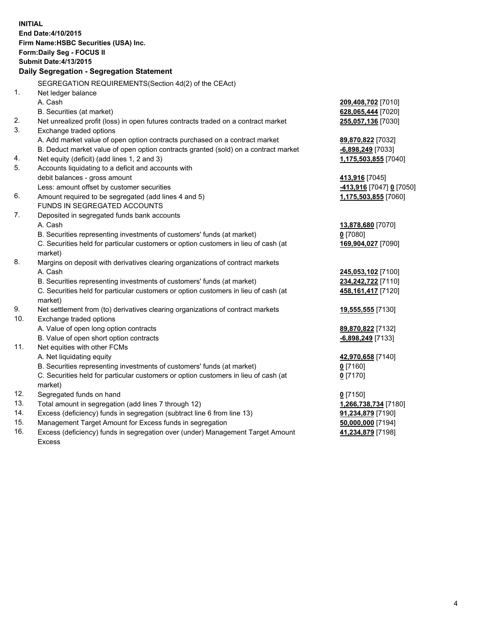| <b>INITIAL</b> | End Date: 4/10/2015<br>Firm Name: HSBC Securities (USA) Inc.<br>Form: Daily Seg - FOCUS II<br><b>Submit Date: 4/13/2015</b><br>Daily Segregation - Segregation Statement<br>SEGREGATION REQUIREMENTS(Section 4d(2) of the CEAct) |                                        |
|----------------|----------------------------------------------------------------------------------------------------------------------------------------------------------------------------------------------------------------------------------|----------------------------------------|
| 1.             | Net ledger balance                                                                                                                                                                                                               |                                        |
|                | A. Cash                                                                                                                                                                                                                          | 209,408,702 [7010]                     |
|                | B. Securities (at market)                                                                                                                                                                                                        | 628,065,444 [7020]                     |
| 2.<br>3.       | Net unrealized profit (loss) in open futures contracts traded on a contract market                                                                                                                                               | 255,057,136 [7030]                     |
|                | Exchange traded options                                                                                                                                                                                                          |                                        |
|                | A. Add market value of open option contracts purchased on a contract market<br>B. Deduct market value of open option contracts granted (sold) on a contract market                                                               | 89,870,822 [7032]<br>-6,898,249 [7033] |
| 4.             | Net equity (deficit) (add lines 1, 2 and 3)                                                                                                                                                                                      | 1,175,503,855 [7040]                   |
| 5.             | Accounts liquidating to a deficit and accounts with                                                                                                                                                                              |                                        |
|                | debit balances - gross amount                                                                                                                                                                                                    | 413,916 [7045]                         |
|                | Less: amount offset by customer securities                                                                                                                                                                                       | -413,916 [7047] 0 [7050]               |
| 6.             | Amount required to be segregated (add lines 4 and 5)                                                                                                                                                                             | 1,175,503,855 [7060]                   |
|                | FUNDS IN SEGREGATED ACCOUNTS                                                                                                                                                                                                     |                                        |
| 7.             | Deposited in segregated funds bank accounts                                                                                                                                                                                      |                                        |
|                | A. Cash                                                                                                                                                                                                                          | 13,878,680 [7070]                      |
|                | B. Securities representing investments of customers' funds (at market)                                                                                                                                                           | $0$ [7080]                             |
|                | C. Securities held for particular customers or option customers in lieu of cash (at<br>market)                                                                                                                                   | 169,904,027 [7090]                     |
| 8.             | Margins on deposit with derivatives clearing organizations of contract markets                                                                                                                                                   |                                        |
|                | A. Cash                                                                                                                                                                                                                          | 245,053,102 [7100]                     |
|                | B. Securities representing investments of customers' funds (at market)                                                                                                                                                           | 234,242,722 [7110]                     |
|                | C. Securities held for particular customers or option customers in lieu of cash (at<br>market)                                                                                                                                   | 458, 161, 417 [7120]                   |
| 9.             | Net settlement from (to) derivatives clearing organizations of contract markets                                                                                                                                                  | 19,555,555 [7130]                      |
| 10.            | Exchange traded options                                                                                                                                                                                                          |                                        |
|                | A. Value of open long option contracts                                                                                                                                                                                           | 89,870,822 [7132]                      |
|                | B. Value of open short option contracts                                                                                                                                                                                          | -6,898,249 [7133]                      |
| 11.            | Net equities with other FCMs                                                                                                                                                                                                     |                                        |
|                | A. Net liquidating equity                                                                                                                                                                                                        | 42,970,658 [7140]                      |
|                | B. Securities representing investments of customers' funds (at market)                                                                                                                                                           | 0 <sup>[7160]</sup>                    |
|                | C. Securities held for particular customers or option customers in lieu of cash (at<br>market)                                                                                                                                   | $0$ [7170]                             |
| 12.            | Segregated funds on hand                                                                                                                                                                                                         | $0$ [7150]                             |
| 13.            | Total amount in segregation (add lines 7 through 12)                                                                                                                                                                             | 1,266,738,734 [7180]                   |
| 14.            | Excess (deficiency) funds in segregation (subtract line 6 from line 13)                                                                                                                                                          | 91,234,879 [7190]                      |
| 15.            | Management Target Amount for Excess funds in segregation                                                                                                                                                                         | 50,000,000 [7194]                      |
| 16.            | Excess (deficiency) funds in segregation over (under) Management Target Amount                                                                                                                                                   | 41,234,879 [7198]                      |
|                | <b>Excess</b>                                                                                                                                                                                                                    |                                        |